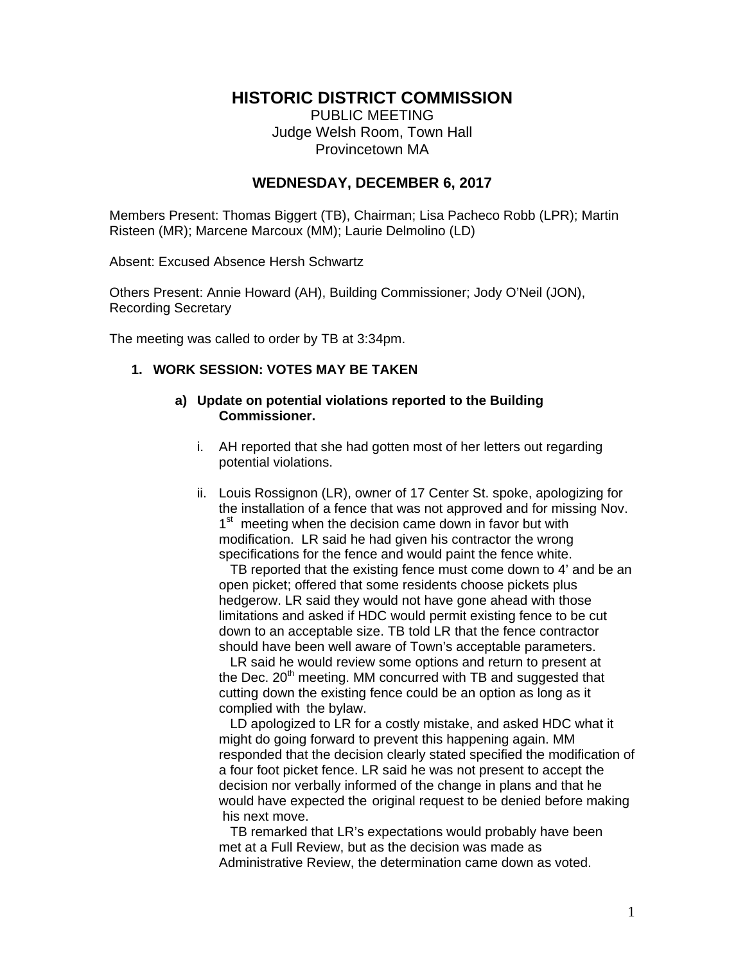# **HISTORIC DISTRICT COMMISSION**

PUBLIC MEETING Judge Welsh Room, Town Hall Provincetown MA

## **WEDNESDAY, DECEMBER 6, 2017**

Members Present: Thomas Biggert (TB), Chairman; Lisa Pacheco Robb (LPR); Martin Risteen (MR); Marcene Marcoux (MM); Laurie Delmolino (LD)

Absent: Excused Absence Hersh Schwartz

Others Present: Annie Howard (AH), Building Commissioner; Jody O'Neil (JON), Recording Secretary

The meeting was called to order by TB at 3:34pm.

## **1. WORK SESSION: VOTES MAY BE TAKEN**

#### **a) Update on potential violations reported to the Building Commissioner.**

- i. AH reported that she had gotten most of her letters out regarding potential violations.
- ii. Louis Rossignon (LR), owner of 17 Center St. spoke, apologizing for the installation of a fence that was not approved and for missing Nov. 1<sup>st</sup> meeting when the decision came down in favor but with modification. LR said he had given his contractor the wrong specifications for the fence and would paint the fence white.

 TB reported that the existing fence must come down to 4' and be an open picket; offered that some residents choose pickets plus hedgerow. LR said they would not have gone ahead with those limitations and asked if HDC would permit existing fence to be cut down to an acceptable size. TB told LR that the fence contractor should have been well aware of Town's acceptable parameters.

 LR said he would review some options and return to present at the Dec. 20<sup>th</sup> meeting. MM concurred with TB and suggested that cutting down the existing fence could be an option as long as it complied with the bylaw.

 LD apologized to LR for a costly mistake, and asked HDC what it might do going forward to prevent this happening again. MM responded that the decision clearly stated specified the modification of a four foot picket fence. LR said he was not present to accept the decision nor verbally informed of the change in plans and that he would have expected the original request to be denied before making his next move.

 TB remarked that LR's expectations would probably have been met at a Full Review, but as the decision was made as Administrative Review, the determination came down as voted.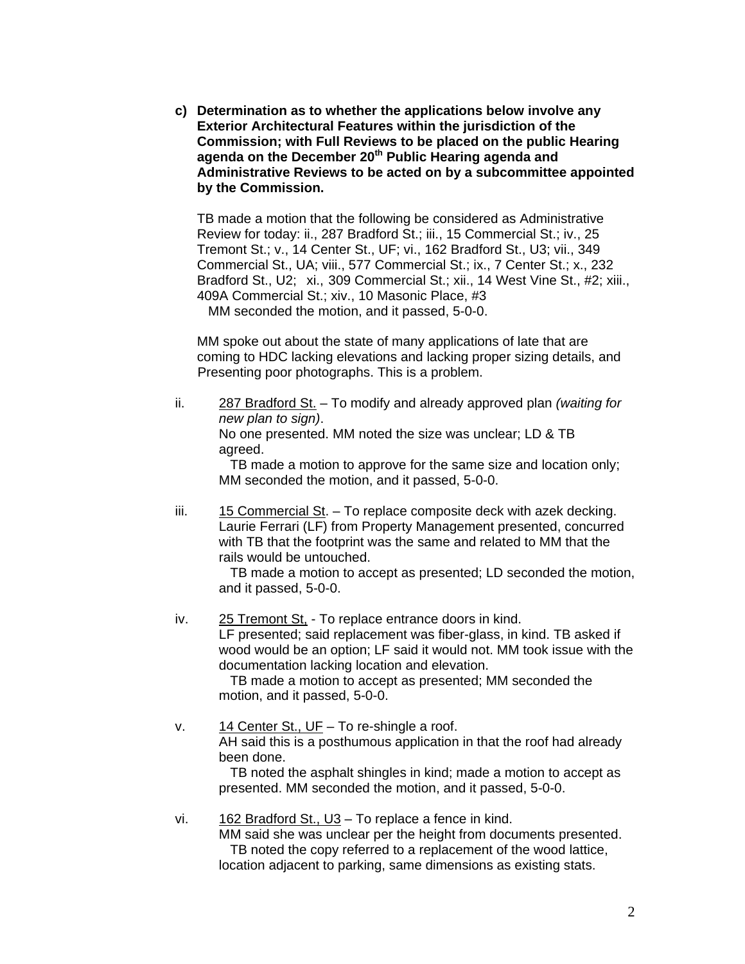**c) Determination as to whether the applications below involve any Exterior Architectural Features within the jurisdiction of the Commission; with Full Reviews to be placed on the public Hearing agenda on the December 20th Public Hearing agenda and Administrative Reviews to be acted on by a subcommittee appointed by the Commission.** 

TB made a motion that the following be considered as Administrative Review for today: ii., 287 Bradford St.; iii., 15 Commercial St.; iv., 25 Tremont St.; v., 14 Center St., UF; vi., 162 Bradford St., U3; vii., 349 Commercial St., UA; viii., 577 Commercial St.; ix., 7 Center St.; x., 232 Bradford St., U2; xi., 309 Commercial St.; xii., 14 West Vine St., #2; xiii., 409A Commercial St.; xiv., 10 Masonic Place, #3 MM seconded the motion, and it passed, 5-0-0.

 MM spoke out about the state of many applications of late that are coming to HDC lacking elevations and lacking proper sizing details, and Presenting poor photographs. This is a problem.

ii. 287 Bradford St. – To modify and already approved plan *(waiting for new plan to sign)*. No one presented. MM noted the size was unclear; LD & TB agreed.

 TB made a motion to approve for the same size and location only; MM seconded the motion, and it passed, 5-0-0.

 iii. 15 Commercial St. – To replace composite deck with azek decking. Laurie Ferrari (LF) from Property Management presented, concurred with TB that the footprint was the same and related to MM that the rails would be untouched.

 TB made a motion to accept as presented; LD seconded the motion, and it passed, 5-0-0.

iv. 25 Tremont St, - To replace entrance doors in kind. LF presented; said replacement was fiber-glass, in kind. TB asked if wood would be an option; LF said it would not. MM took issue with the documentation lacking location and elevation.

 TB made a motion to accept as presented; MM seconded the motion, and it passed, 5-0-0.

v.  $14$  Center St., UF – To re-shingle a roof. AH said this is a posthumous application in that the roof had already been done.

 TB noted the asphalt shingles in kind; made a motion to accept as presented. MM seconded the motion, and it passed, 5-0-0.

vi. 162 Bradford St., U3 – To replace a fence in kind.

 MM said she was unclear per the height from documents presented. TB noted the copy referred to a replacement of the wood lattice, location adjacent to parking, same dimensions as existing stats.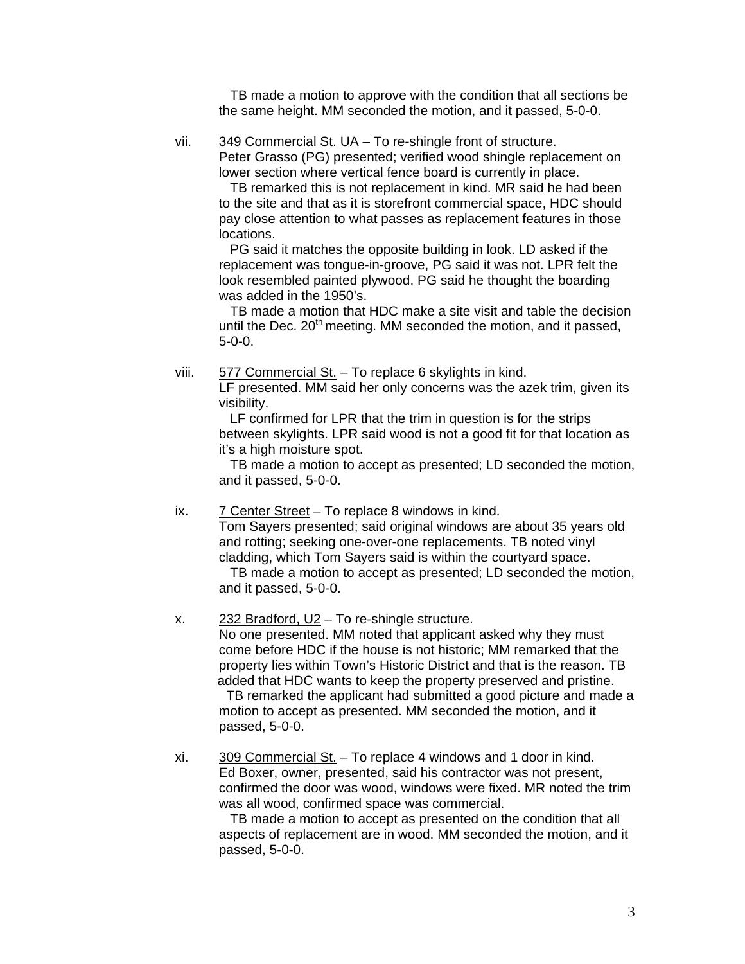TB made a motion to approve with the condition that all sections be the same height. MM seconded the motion, and it passed, 5-0-0.

vii. 349 Commercial St. UA – To re-shingle front of structure.

 Peter Grasso (PG) presented; verified wood shingle replacement on lower section where vertical fence board is currently in place.

 TB remarked this is not replacement in kind. MR said he had been to the site and that as it is storefront commercial space, HDC should pay close attention to what passes as replacement features in those locations.

 PG said it matches the opposite building in look. LD asked if the replacement was tongue-in-groove, PG said it was not. LPR felt the look resembled painted plywood. PG said he thought the boarding was added in the 1950's.

 TB made a motion that HDC make a site visit and table the decision until the Dec.  $20<sup>th</sup>$  meeting. MM seconded the motion, and it passed, 5-0-0.

viii. 577 Commercial St. - To replace 6 skylights in kind.

 LF presented. MM said her only concerns was the azek trim, given its visibility.

 LF confirmed for LPR that the trim in question is for the strips between skylights. LPR said wood is not a good fit for that location as it's a high moisture spot.

 TB made a motion to accept as presented; LD seconded the motion, and it passed, 5-0-0.

ix.  $7$  Center Street – To replace 8 windows in kind.

Tom Sayers presented; said original windows are about 35 years old and rotting; seeking one-over-one replacements. TB noted vinyl cladding, which Tom Sayers said is within the courtyard space. TB made a motion to accept as presented; LD seconded the motion,

and it passed, 5-0-0.

 x. 232 Bradford, U2 – To re-shingle structure. No one presented. MM noted that applicant asked why they must come before HDC if the house is not historic; MM remarked that the property lies within Town's Historic District and that is the reason. TB added that HDC wants to keep the property preserved and pristine. TB remarked the applicant had submitted a good picture and made a motion to accept as presented. MM seconded the motion, and it

passed, 5-0-0.

 xi. 309 Commercial St. – To replace 4 windows and 1 door in kind. Ed Boxer, owner, presented, said his contractor was not present, confirmed the door was wood, windows were fixed. MR noted the trim was all wood, confirmed space was commercial.

 TB made a motion to accept as presented on the condition that all aspects of replacement are in wood. MM seconded the motion, and it passed, 5-0-0.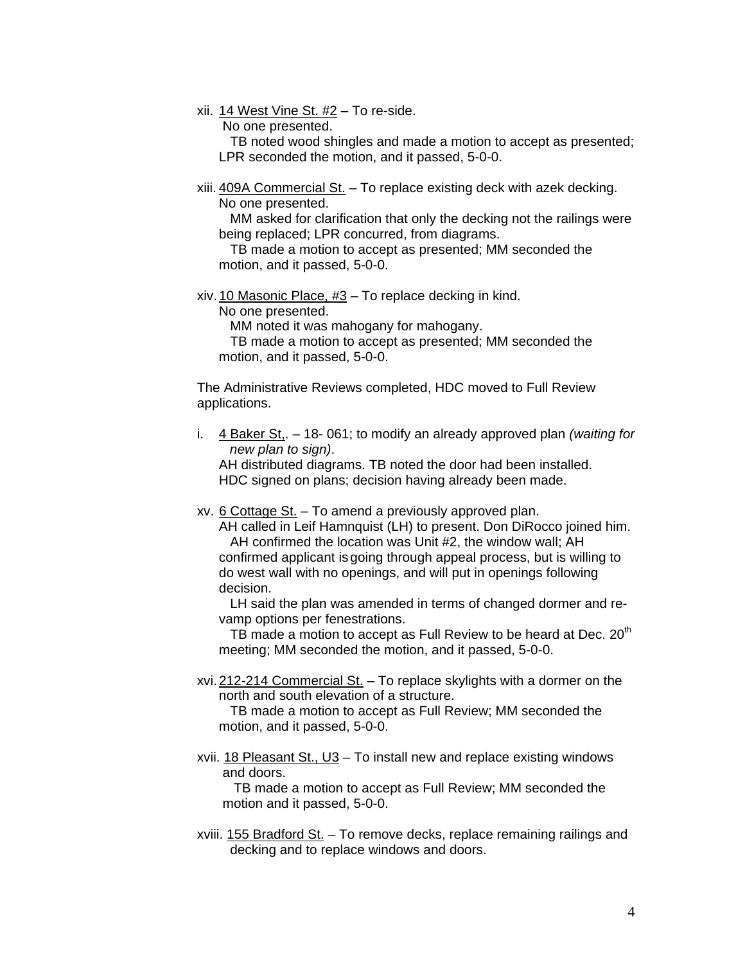xii. 14 West Vine St. #2 – To re-side.

No one presented.

 TB noted wood shingles and made a motion to accept as presented; LPR seconded the motion, and it passed, 5-0-0.

 xiii. 409A Commercial St. – To replace existing deck with azek decking. No one presented.

 MM asked for clarification that only the decking not the railings were being replaced; LPR concurred, from diagrams.

 TB made a motion to accept as presented; MM seconded the motion, and it passed, 5-0-0.

xiv. 10 Masonic Place, #3 – To replace decking in kind.

No one presented.

MM noted it was mahogany for mahogany.

 TB made a motion to accept as presented; MM seconded the motion, and it passed, 5-0-0.

 The Administrative Reviews completed, HDC moved to Full Review applications.

i. 4 Baker St,. – 18- 061; to modify an already approved plan *(waiting for new plan to sign)*.

AH distributed diagrams. TB noted the door had been installed. HDC signed on plans; decision having already been made.

xv. 6 Cottage St. – To amend a previously approved plan.

 AH called in Leif Hamnquist (LH) to present. Don DiRocco joined him. AH confirmed the location was Unit #2, the window wall; AH confirmed applicant is going through appeal process, but is willing to do west wall with no openings, and will put in openings following decision.

 LH said the plan was amended in terms of changed dormer and re vamp options per fenestrations.

TB made a motion to accept as Full Review to be heard at Dec.  $20<sup>th</sup>$ meeting; MM seconded the motion, and it passed, 5-0-0.

 xvi. 212-214 Commercial St. – To replace skylights with a dormer on the north and south elevation of a structure.

 TB made a motion to accept as Full Review; MM seconded the motion, and it passed, 5-0-0.

 xvii. 18 Pleasant St., U3 – To install new and replace existing windows and doors.

 TB made a motion to accept as Full Review; MM seconded the motion and it passed, 5-0-0.

 xviii. 155 Bradford St. – To remove decks, replace remaining railings and decking and to replace windows and doors.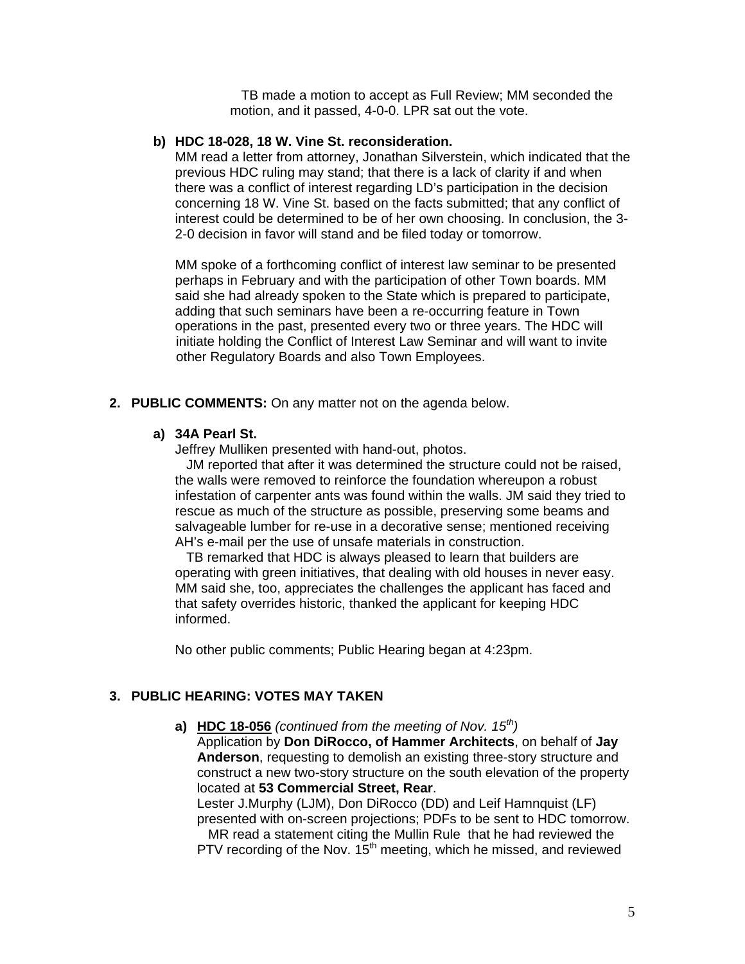TB made a motion to accept as Full Review; MM seconded the motion, and it passed, 4-0-0. LPR sat out the vote.

#### **b) HDC 18-028, 18 W. Vine St. reconsideration.**

MM read a letter from attorney, Jonathan Silverstein, which indicated that the previous HDC ruling may stand; that there is a lack of clarity if and when there was a conflict of interest regarding LD's participation in the decision concerning 18 W. Vine St. based on the facts submitted; that any conflict of interest could be determined to be of her own choosing. In conclusion, the 3- 2-0 decision in favor will stand and be filed today or tomorrow.

 MM spoke of a forthcoming conflict of interest law seminar to be presented perhaps in February and with the participation of other Town boards. MM said she had already spoken to the State which is prepared to participate, adding that such seminars have been a re-occurring feature in Town operations in the past, presented every two or three years. The HDC will initiate holding the Conflict of Interest Law Seminar and will want to invite other Regulatory Boards and also Town Employees.

#### **2. PUBLIC COMMENTS:** On any matter not on the agenda below.

#### **a) 34A Pearl St.**

Jeffrey Mulliken presented with hand-out, photos.

 JM reported that after it was determined the structure could not be raised, the walls were removed to reinforce the foundation whereupon a robust infestation of carpenter ants was found within the walls. JM said they tried to rescue as much of the structure as possible, preserving some beams and salvageable lumber for re-use in a decorative sense; mentioned receiving AH's e-mail per the use of unsafe materials in construction.

 TB remarked that HDC is always pleased to learn that builders are operating with green initiatives, that dealing with old houses in never easy. MM said she, too, appreciates the challenges the applicant has faced and that safety overrides historic, thanked the applicant for keeping HDC informed.

No other public comments; Public Hearing began at 4:23pm.

#### **3. PUBLIC HEARING: VOTES MAY TAKEN**

 **a) HDC 18-056** *(continued from the meeting of Nov. 15th)* 

Application by **Don DiRocco, of Hammer Architects**, on behalf of **Jay Anderson**, requesting to demolish an existing three-story structure and construct a new two-story structure on the south elevation of the property located at **53 Commercial Street, Rear**.

Lester J.Murphy (LJM), Don DiRocco (DD) and Leif Hamnquist (LF) presented with on-screen projections; PDFs to be sent to HDC tomorrow. MR read a statement citing the Mullin Rule that he had reviewed the

PTV recording of the Nov.  $15<sup>th</sup>$  meeting, which he missed, and reviewed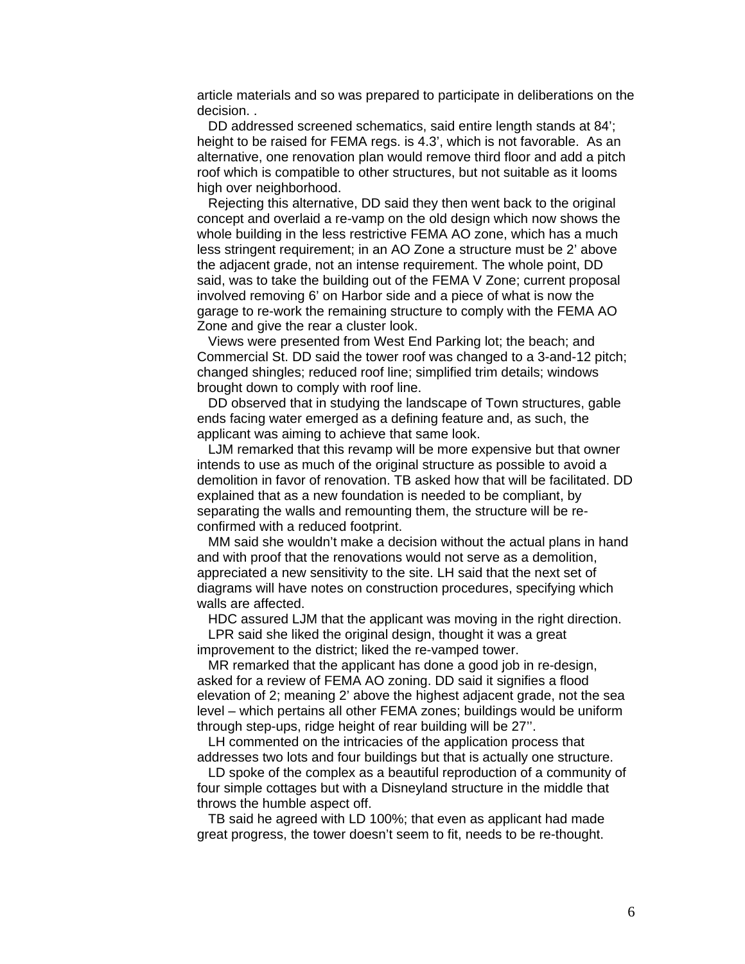article materials and so was prepared to participate in deliberations on the decision. .

 DD addressed screened schematics, said entire length stands at 84'; height to be raised for FEMA regs. is 4.3', which is not favorable. As an alternative, one renovation plan would remove third floor and add a pitch roof which is compatible to other structures, but not suitable as it looms high over neighborhood.

 Rejecting this alternative, DD said they then went back to the original concept and overlaid a re-vamp on the old design which now shows the whole building in the less restrictive FEMA AO zone, which has a much less stringent requirement; in an AO Zone a structure must be 2' above the adjacent grade, not an intense requirement. The whole point, DD said, was to take the building out of the FEMA V Zone; current proposal involved removing 6' on Harbor side and a piece of what is now the garage to re-work the remaining structure to comply with the FEMA AO Zone and give the rear a cluster look.

 Views were presented from West End Parking lot; the beach; and Commercial St. DD said the tower roof was changed to a 3-and-12 pitch; changed shingles; reduced roof line; simplified trim details; windows brought down to comply with roof line.

 DD observed that in studying the landscape of Town structures, gable ends facing water emerged as a defining feature and, as such, the applicant was aiming to achieve that same look.

 LJM remarked that this revamp will be more expensive but that owner intends to use as much of the original structure as possible to avoid a demolition in favor of renovation. TB asked how that will be facilitated. DD explained that as a new foundation is needed to be compliant, by separating the walls and remounting them, the structure will be reconfirmed with a reduced footprint.

 MM said she wouldn't make a decision without the actual plans in hand and with proof that the renovations would not serve as a demolition, appreciated a new sensitivity to the site. LH said that the next set of diagrams will have notes on construction procedures, specifying which walls are affected.

 HDC assured LJM that the applicant was moving in the right direction. LPR said she liked the original design, thought it was a great improvement to the district; liked the re-vamped tower.

 MR remarked that the applicant has done a good job in re-design, asked for a review of FEMA AO zoning. DD said it signifies a flood elevation of 2; meaning 2' above the highest adjacent grade, not the sea level – which pertains all other FEMA zones; buildings would be uniform through step-ups, ridge height of rear building will be 27''.

 LH commented on the intricacies of the application process that addresses two lots and four buildings but that is actually one structure.

 LD spoke of the complex as a beautiful reproduction of a community of four simple cottages but with a Disneyland structure in the middle that throws the humble aspect off.

 TB said he agreed with LD 100%; that even as applicant had made great progress, the tower doesn't seem to fit, needs to be re-thought.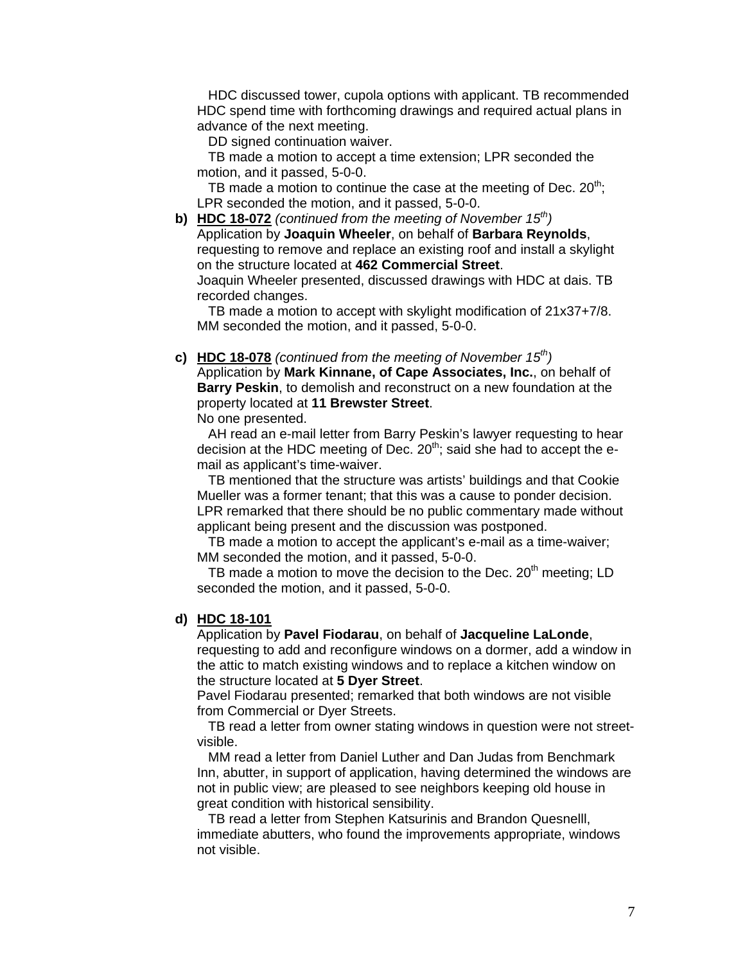HDC discussed tower, cupola options with applicant. TB recommended HDC spend time with forthcoming drawings and required actual plans in advance of the next meeting.

DD signed continuation waiver.

 TB made a motion to accept a time extension; LPR seconded the motion, and it passed, 5-0-0.

TB made a motion to continue the case at the meeting of Dec.  $20^{th}$ . LPR seconded the motion, and it passed, 5-0-0.

**b) HDC 18-072** *(continued from the meeting of November 15th)*  Application by **Joaquin Wheeler**, on behalf of **Barbara Reynolds**, requesting to remove and replace an existing roof and install a skylight on the structure located at **462 Commercial Street**. Joaquin Wheeler presented, discussed drawings with HDC at dais. TB recorded changes.

 TB made a motion to accept with skylight modification of 21x37+7/8. MM seconded the motion, and it passed, 5-0-0.

**c) HDC 18-078** *(continued from the meeting of November 15th)* 

Application by **Mark Kinnane, of Cape Associates, Inc.**, on behalf of **Barry Peskin**, to demolish and reconstruct on a new foundation at the property located at **11 Brewster Street**.

No one presented.

 AH read an e-mail letter from Barry Peskin's lawyer requesting to hear decision at the HDC meeting of Dec.  $20<sup>th</sup>$ ; said she had to accept the email as applicant's time-waiver.

 TB mentioned that the structure was artists' buildings and that Cookie Mueller was a former tenant; that this was a cause to ponder decision. LPR remarked that there should be no public commentary made without applicant being present and the discussion was postponed.

 TB made a motion to accept the applicant's e-mail as a time-waiver; MM seconded the motion, and it passed, 5-0-0.

TB made a motion to move the decision to the Dec. 20<sup>th</sup> meeting: LD seconded the motion, and it passed, 5-0-0.

#### **d) HDC 18-101**

Application by **Pavel Fiodarau**, on behalf of **Jacqueline LaLonde**, requesting to add and reconfigure windows on a dormer, add a window in the attic to match existing windows and to replace a kitchen window on the structure located at **5 Dyer Street**.

 Pavel Fiodarau presented; remarked that both windows are not visible from Commercial or Dyer Streets.

 TB read a letter from owner stating windows in question were not street visible.

 MM read a letter from Daniel Luther and Dan Judas from Benchmark Inn, abutter, in support of application, having determined the windows are not in public view; are pleased to see neighbors keeping old house in great condition with historical sensibility.

 TB read a letter from Stephen Katsurinis and Brandon Quesnelll, immediate abutters, who found the improvements appropriate, windows not visible.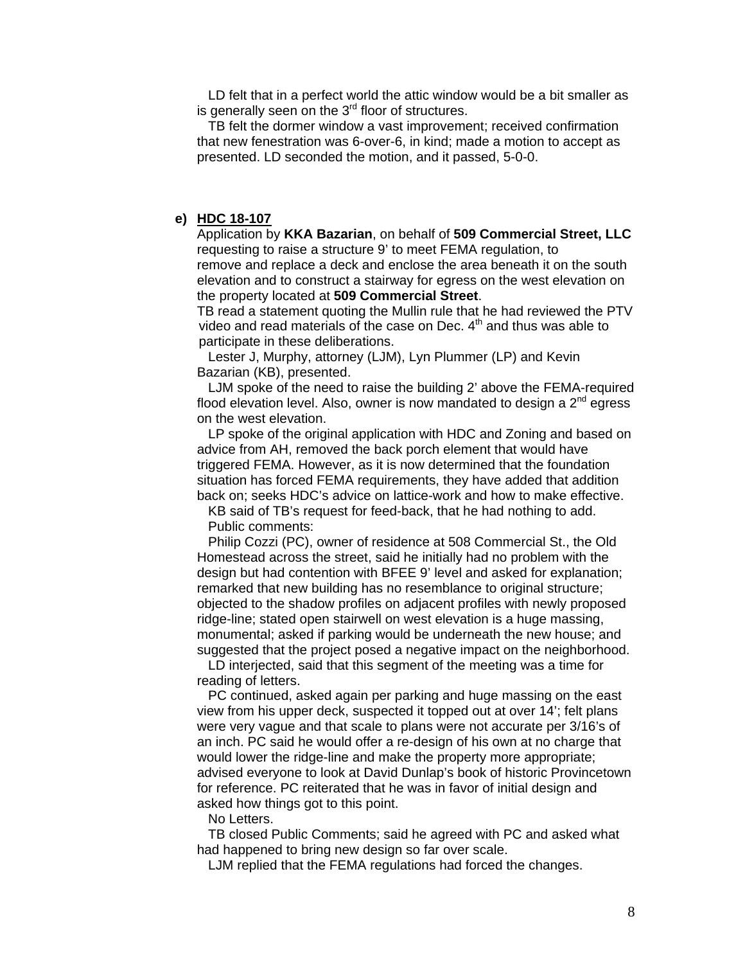LD felt that in a perfect world the attic window would be a bit smaller as is generally seen on the  $3<sup>rd</sup>$  floor of structures.

 TB felt the dormer window a vast improvement; received confirmation that new fenestration was 6-over-6, in kind; made a motion to accept as presented. LD seconded the motion, and it passed, 5-0-0.

#### **e) HDC 18-107**

 Application by **KKA Bazarian**, on behalf of **509 Commercial Street, LLC** requesting to raise a structure 9' to meet FEMA regulation, to remove and replace a deck and enclose the area beneath it on the south elevation and to construct a stairway for egress on the west elevation on the property located at **509 Commercial Street**.

 TB read a statement quoting the Mullin rule that he had reviewed the PTV video and read materials of the case on Dec.  $4<sup>th</sup>$  and thus was able to participate in these deliberations.

 Lester J, Murphy, attorney (LJM), Lyn Plummer (LP) and Kevin Bazarian (KB), presented.

 LJM spoke of the need to raise the building 2' above the FEMA-required flood elevation level. Also, owner is now mandated to design a  $2<sup>nd</sup>$  egress on the west elevation.

 LP spoke of the original application with HDC and Zoning and based on advice from AH, removed the back porch element that would have triggered FEMA. However, as it is now determined that the foundation situation has forced FEMA requirements, they have added that addition back on; seeks HDC's advice on lattice-work and how to make effective.

 KB said of TB's request for feed-back, that he had nothing to add. Public comments:

 Philip Cozzi (PC), owner of residence at 508 Commercial St., the Old Homestead across the street, said he initially had no problem with the design but had contention with BFEE 9' level and asked for explanation; remarked that new building has no resemblance to original structure; objected to the shadow profiles on adjacent profiles with newly proposed ridge-line; stated open stairwell on west elevation is a huge massing, monumental; asked if parking would be underneath the new house; and suggested that the project posed a negative impact on the neighborhood.

 LD interjected, said that this segment of the meeting was a time for reading of letters.

 PC continued, asked again per parking and huge massing on the east view from his upper deck, suspected it topped out at over 14'; felt plans were very vague and that scale to plans were not accurate per 3/16's of an inch. PC said he would offer a re-design of his own at no charge that would lower the ridge-line and make the property more appropriate; advised everyone to look at David Dunlap's book of historic Provincetown for reference. PC reiterated that he was in favor of initial design and asked how things got to this point.

No Letters.

 TB closed Public Comments; said he agreed with PC and asked what had happened to bring new design so far over scale.

LJM replied that the FEMA regulations had forced the changes.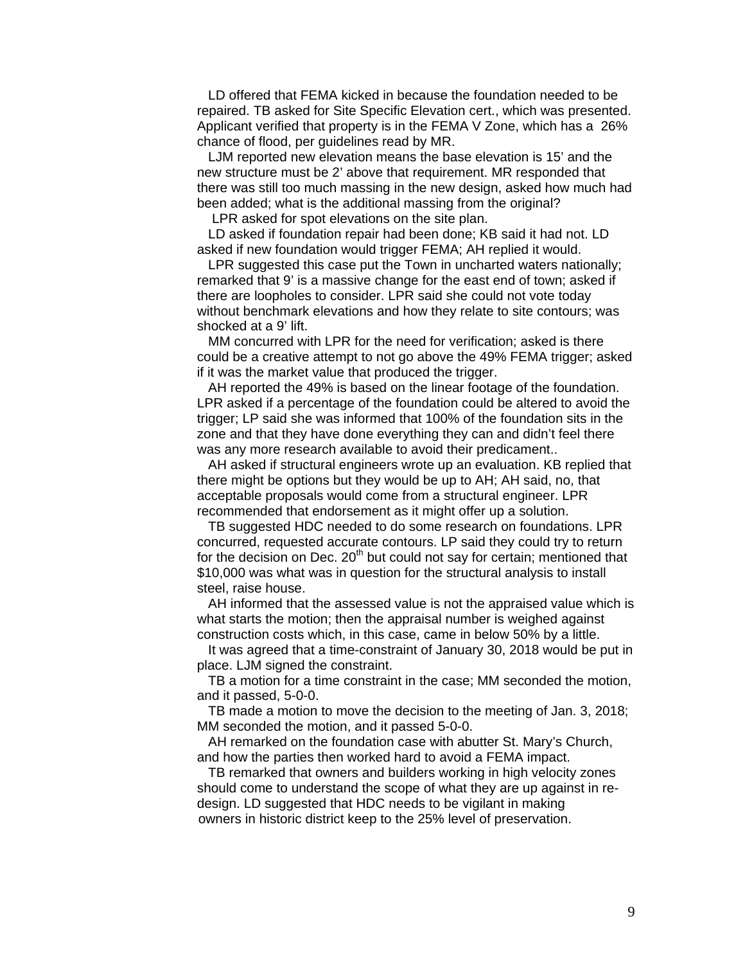LD offered that FEMA kicked in because the foundation needed to be repaired. TB asked for Site Specific Elevation cert., which was presented. Applicant verified that property is in the FEMA V Zone, which has a 26% chance of flood, per guidelines read by MR.

 LJM reported new elevation means the base elevation is 15' and the new structure must be 2' above that requirement. MR responded that there was still too much massing in the new design, asked how much had been added; what is the additional massing from the original?

LPR asked for spot elevations on the site plan.

 LD asked if foundation repair had been done; KB said it had not. LD asked if new foundation would trigger FEMA; AH replied it would.

 LPR suggested this case put the Town in uncharted waters nationally; remarked that 9' is a massive change for the east end of town; asked if there are loopholes to consider. LPR said she could not vote today without benchmark elevations and how they relate to site contours; was shocked at a 9' lift.

 MM concurred with LPR for the need for verification; asked is there could be a creative attempt to not go above the 49% FEMA trigger; asked if it was the market value that produced the trigger.

 AH reported the 49% is based on the linear footage of the foundation. LPR asked if a percentage of the foundation could be altered to avoid the trigger; LP said she was informed that 100% of the foundation sits in the zone and that they have done everything they can and didn't feel there was any more research available to avoid their predicament..

 AH asked if structural engineers wrote up an evaluation. KB replied that there might be options but they would be up to AH; AH said, no, that acceptable proposals would come from a structural engineer. LPR recommended that endorsement as it might offer up a solution.

 TB suggested HDC needed to do some research on foundations. LPR concurred, requested accurate contours. LP said they could try to return for the decision on Dec.  $20<sup>th</sup>$  but could not say for certain; mentioned that \$10,000 was what was in question for the structural analysis to install steel, raise house.

 AH informed that the assessed value is not the appraised value which is what starts the motion; then the appraisal number is weighed against construction costs which, in this case, came in below 50% by a little.

 It was agreed that a time-constraint of January 30, 2018 would be put in place. LJM signed the constraint.

 TB a motion for a time constraint in the case; MM seconded the motion, and it passed, 5-0-0.

 TB made a motion to move the decision to the meeting of Jan. 3, 2018; MM seconded the motion, and it passed 5-0-0.

 AH remarked on the foundation case with abutter St. Mary's Church, and how the parties then worked hard to avoid a FEMA impact.

 TB remarked that owners and builders working in high velocity zones should come to understand the scope of what they are up against in re design. LD suggested that HDC needs to be vigilant in making owners in historic district keep to the 25% level of preservation.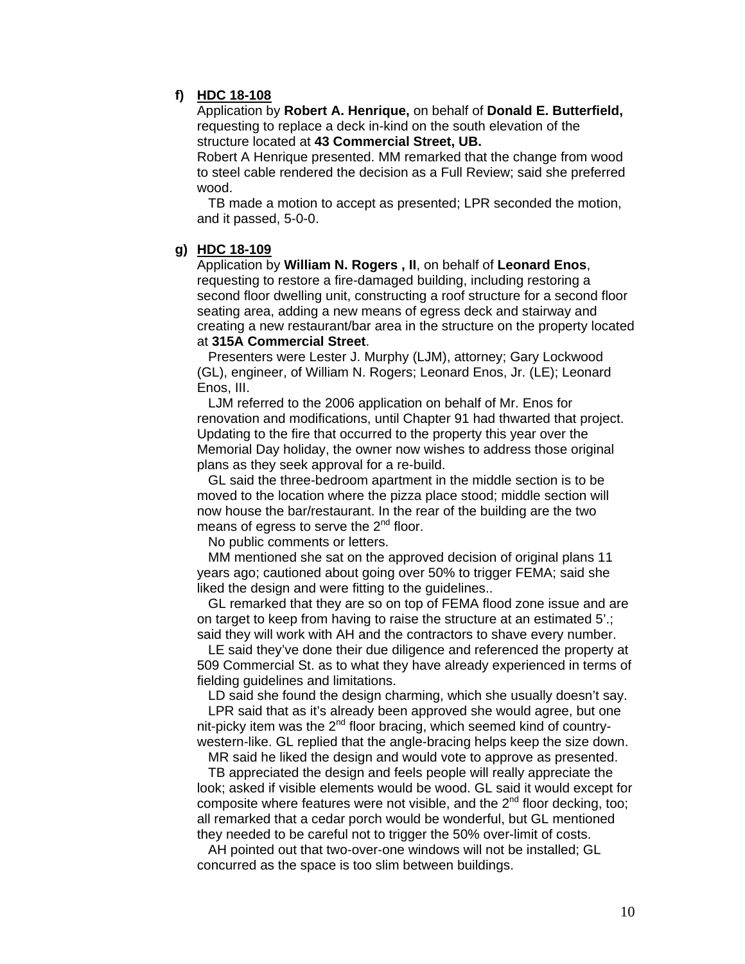## **f) HDC 18-108**

Application by **Robert A. Henrique,** on behalf of **Donald E. Butterfield,**  requesting to replace a deck in-kind on the south elevation of the structure located at **43 Commercial Street, UB.** 

Robert A Henrique presented. MM remarked that the change from wood to steel cable rendered the decision as a Full Review; said she preferred wood.

 TB made a motion to accept as presented; LPR seconded the motion, and it passed, 5-0-0.

### **g) HDC 18-109**

Application by **William N. Rogers , II**, on behalf of **Leonard Enos**, requesting to restore a fire-damaged building, including restoring a second floor dwelling unit, constructing a roof structure for a second floor seating area, adding a new means of egress deck and stairway and creating a new restaurant/bar area in the structure on the property located at **315A Commercial Street**.

 Presenters were Lester J. Murphy (LJM), attorney; Gary Lockwood (GL), engineer, of William N. Rogers; Leonard Enos, Jr. (LE); Leonard Enos, III.

 LJM referred to the 2006 application on behalf of Mr. Enos for renovation and modifications, until Chapter 91 had thwarted that project. Updating to the fire that occurred to the property this year over the Memorial Day holiday, the owner now wishes to address those original plans as they seek approval for a re-build.

 GL said the three-bedroom apartment in the middle section is to be moved to the location where the pizza place stood; middle section will now house the bar/restaurant. In the rear of the building are the two means of egress to serve the  $2<sup>nd</sup>$  floor.

No public comments or letters.

 MM mentioned she sat on the approved decision of original plans 11 years ago; cautioned about going over 50% to trigger FEMA; said she liked the design and were fitting to the guidelines..

 GL remarked that they are so on top of FEMA flood zone issue and are on target to keep from having to raise the structure at an estimated 5'.; said they will work with AH and the contractors to shave every number.

 LE said they've done their due diligence and referenced the property at 509 Commercial St. as to what they have already experienced in terms of fielding guidelines and limitations.

LD said she found the design charming, which she usually doesn't say.

 LPR said that as it's already been approved she would agree, but one nit-picky item was the 2<sup>nd</sup> floor bracing, which seemed kind of countrywestern-like. GL replied that the angle-bracing helps keep the size down.

MR said he liked the design and would vote to approve as presented.

 TB appreciated the design and feels people will really appreciate the look; asked if visible elements would be wood. GL said it would except for composite where features were not visible, and the 2<sup>nd</sup> floor decking, too; all remarked that a cedar porch would be wonderful, but GL mentioned they needed to be careful not to trigger the 50% over-limit of costs.

 AH pointed out that two-over-one windows will not be installed; GL concurred as the space is too slim between buildings.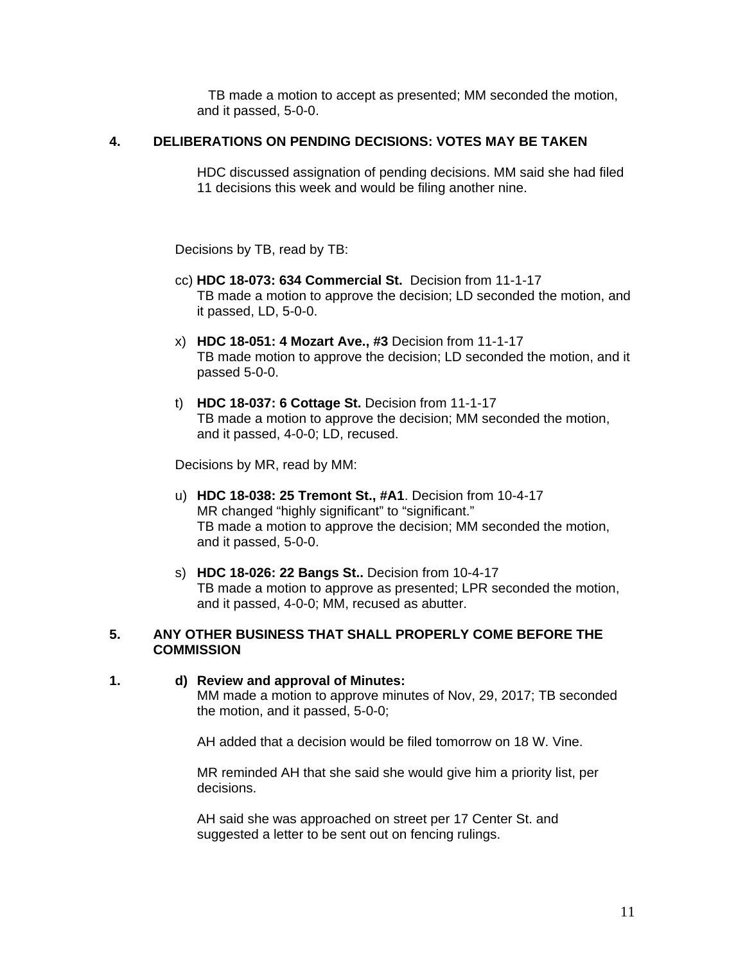TB made a motion to accept as presented; MM seconded the motion, and it passed, 5-0-0.

### **4. DELIBERATIONS ON PENDING DECISIONS: VOTES MAY BE TAKEN**

HDC discussed assignation of pending decisions. MM said she had filed 11 decisions this week and would be filing another nine.

Decisions by TB, read by TB:

- cc) **HDC 18-073: 634 Commercial St.** Decision from 11-1-17 TB made a motion to approve the decision; LD seconded the motion, and it passed, LD, 5-0-0.
- x) **HDC 18-051: 4 Mozart Ave., #3** Decision from 11-1-17 TB made motion to approve the decision; LD seconded the motion, and it passed 5-0-0.
- t) **HDC 18-037: 6 Cottage St.** Decision from 11-1-17 TB made a motion to approve the decision; MM seconded the motion, and it passed, 4-0-0; LD, recused.

Decisions by MR, read by MM:

- u) **HDC 18-038: 25 Tremont St., #A1**. Decision from 10-4-17 MR changed "highly significant" to "significant." TB made a motion to approve the decision; MM seconded the motion, and it passed, 5-0-0.
- s) **HDC 18-026: 22 Bangs St..** Decision from 10-4-17 TB made a motion to approve as presented; LPR seconded the motion, and it passed, 4-0-0; MM, recused as abutter.

### **5. ANY OTHER BUSINESS THAT SHALL PROPERLY COME BEFORE THE COMMISSION**

# **1. d) Review and approval of Minutes:**

 MM made a motion to approve minutes of Nov, 29, 2017; TB seconded the motion, and it passed, 5-0-0;

AH added that a decision would be filed tomorrow on 18 W. Vine.

 MR reminded AH that she said she would give him a priority list, per decisions.

 AH said she was approached on street per 17 Center St. and suggested a letter to be sent out on fencing rulings.